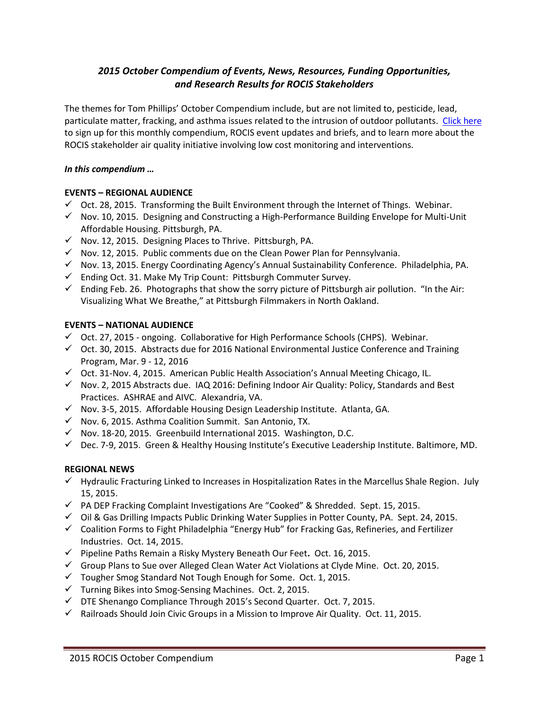# *2015 October Compendium of Events, News, Resources, Funding Opportunities, and Research Results for ROCIS Stakeholders*

The themes for Tom Phillips' October Compendium include, but are not limited to, pesticide, lead, particulate matter, fracking, and asthma issues related to the intrusion of outdoor pollutants. [Click here](http://www.rocis.org/rocis-sign) to sign up for this monthly compendium, ROCIS event updates and briefs, and to learn more about the ROCIS stakeholder air quality initiative involving low cost monitoring and interventions.

## *In this compendium …*

## **EVENTS – REGIONAL AUDIENCE**

- $\checkmark$  Oct. 28, 2015. Transforming the Built Environment through the Internet of Things. Webinar.
- $\checkmark$  Nov. 10, 2015. Designing and Constructing a High-Performance Building Envelope for Multi-Unit Affordable Housing. Pittsburgh, PA.
- $\checkmark$  Nov. 12, 2015. Designing Places to Thrive. Pittsburgh, PA.
- $\checkmark$  Nov. 12, 2015. Public comments due on the Clean Power Plan for Pennsylvania.
- $\checkmark$  Nov. 13, 2015. Energy Coordinating Agency's Annual Sustainability Conference. Philadelphia, PA.
- $\checkmark$  Ending Oct. 31. Make My Trip Count: Pittsburgh Commuter Survey.
- $\checkmark$  Ending Feb. 26. Photographs that show the sorry picture of Pittsburgh air pollution. "In the Air: Visualizing What We Breathe," at Pittsburgh Filmmakers in North Oakland.

### **EVENTS – NATIONAL AUDIENCE**

- $\checkmark$  Oct. 27, 2015 ongoing. Collaborative for High Performance Schools (CHPS). Webinar.
- $\checkmark$  Oct. 30, 2015. Abstracts due for 2016 National Environmental Justice Conference and Training Program, Mar. 9 - 12, 2016
- $\checkmark$  Oct. 31-Nov. 4, 2015. American Public Health Association's Annual Meeting Chicago, IL.
- $\checkmark$  Nov. 2, 2015 Abstracts due. IAQ 2016: Defining Indoor Air Quality: Policy, Standards and Best Practices. ASHRAE and AIVC. Alexandria, VA.
- $\checkmark$  Nov. 3-5, 2015. Affordable Housing Design Leadership Institute. Atlanta, GA.
- $\checkmark$  Nov. 6, 2015. Asthma Coalition Summit. San Antonio, TX.
- $\checkmark$  Nov. 18-20, 2015. Greenbuild International 2015. Washington, D.C.
- $\checkmark$  Dec. 7-9, 2015. Green & Healthy Housing Institute's Executive Leadership Institute. Baltimore, MD.

# **REGIONAL NEWS**

- $\checkmark$  Hydraulic Fracturing Linked to Increases in Hospitalization Rates in the Marcellus Shale Region. July 15, 2015.
- $\checkmark$  PA DEP Fracking Complaint Investigations Are "Cooked" & Shredded. Sept. 15, 2015.
- $\checkmark$  Oil & Gas Drilling Impacts Public Drinking Water Supplies in Potter County, PA. Sept. 24, 2015.
- Coalition Forms to Fight Philadelphia "Energy Hub" for Fracking Gas, Refineries, and Fertilizer Industries. Oct. 14, 2015.
- Pipeline Paths Remain a Risky Mystery Beneath Our Feet**.** Oct. 16, 2015.
- $\checkmark$  Group Plans to Sue over Alleged Clean Water Act Violations at Clyde Mine. Oct. 20, 2015.
- $\checkmark$  Tougher Smog Standard Not Tough Enough for Some. Oct. 1, 2015.
- $\checkmark$  Turning Bikes into Smog-Sensing Machines. Oct. 2, 2015.
- $\checkmark$  DTE Shenango Compliance Through 2015's Second Quarter. Oct. 7, 2015.
- $\checkmark$  Railroads Should Join Civic Groups in a Mission to Improve Air Quality. Oct. 11, 2015.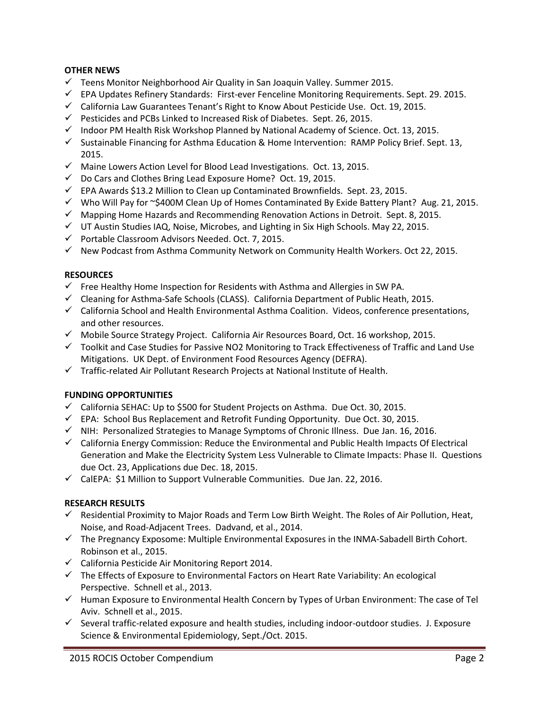# **OTHER NEWS**

- $\checkmark$  Teens Monitor Neighborhood Air Quality in San Joaquin Valley. Summer 2015.
- $\checkmark$  EPA Updates Refinery Standards: First-ever Fenceline Monitoring Requirements. Sept. 29. 2015.
- $\checkmark$  California Law Guarantees Tenant's Right to Know About Pesticide Use. Oct. 19, 2015.
- $\checkmark$  Pesticides and PCBs Linked to Increased Risk of Diabetes. Sept. 26, 2015.
- $\checkmark$  Indoor PM Health Risk Workshop Planned by National Academy of Science. Oct. 13, 2015.
- $\checkmark$  Sustainable Financing for Asthma Education & Home Intervention: RAMP Policy Brief. Sept. 13, 2015.
- $\checkmark$  Maine Lowers Action Level for Blood Lead Investigations. Oct. 13, 2015.
- $\checkmark$  Do Cars and Clothes Bring Lead Exposure Home? Oct. 19, 2015.
- $\checkmark$  EPA Awards \$13.2 Million to Clean up Contaminated Brownfields. Sept. 23, 2015.
- Who Will Pay for ~\$400M Clean Up of Homes Contaminated By Exide Battery Plant? Aug. 21, 2015.
- $\checkmark$  Mapping Home Hazards and Recommending Renovation Actions in Detroit. Sept. 8, 2015.
- $\checkmark$  UT Austin Studies IAQ, Noise, Microbes, and Lighting in Six High Schools. May 22, 2015.
- $\checkmark$  Portable Classroom Advisors Needed. Oct. 7, 2015.
- $\checkmark$  New Podcast from Asthma Community Network on Community Health Workers. Oct 22, 2015.

### **RESOURCES**

- $\checkmark$  Free Healthy Home Inspection for Residents with Asthma and Allergies in SW PA.
- $\checkmark$  Cleaning for Asthma-Safe Schools (CLASS). California Department of Public Heath, 2015.
- $\checkmark$  California School and Health Environmental Asthma Coalition. Videos, conference presentations, and other resources.
- $\checkmark$  Mobile Source Strategy Project. California Air Resources Board, Oct. 16 workshop, 2015.
- $\checkmark$  Toolkit and Case Studies for Passive NO2 Monitoring to Track Effectiveness of Traffic and Land Use Mitigations. UK Dept. of Environment Food Resources Agency (DEFRA).
- $\checkmark$  Traffic-related Air Pollutant Research Projects at National Institute of Health.

### **FUNDING OPPORTUNITIES**

- $\checkmark$  California SEHAC: Up to \$500 for Student Projects on Asthma. Due Oct. 30, 2015.
- $\checkmark$  EPA: School Bus Replacement and Retrofit Funding Opportunity. Due Oct. 30, 2015.
- $\checkmark$  NIH: Personalized Strategies to Manage Symptoms of Chronic Illness. Due Jan. 16, 2016.
- $\checkmark$  California Energy Commission: Reduce the Environmental and Public Health Impacts Of Electrical Generation and Make the Electricity System Less Vulnerable to Climate Impacts: Phase II. Questions due Oct. 23, Applications due Dec. 18, 2015.
- $\checkmark$  CalEPA: \$1 Million to Support Vulnerable Communities. Due Jan. 22, 2016.

### **RESEARCH RESULTS**

- Residential Proximity to Major Roads and Term Low Birth Weight. The Roles of Air Pollution, Heat, Noise, and Road-Adjacent Trees. Dadvand, et al., 2014.
- $\checkmark$  The Pregnancy Exposome: Multiple Environmental Exposures in the INMA-Sabadell Birth Cohort. Robinson et al., 2015.
- $\checkmark$  California Pesticide Air Monitoring Report 2014.
- $\checkmark$  The Effects of Exposure to Environmental Factors on Heart Rate Variability: An ecological Perspective. Schnell et al., 2013.
- $\checkmark$  Human Exposure to Environmental Health Concern by Types of Urban Environment: The case of Tel Aviv. Schnell et al., 2015.
- $\checkmark$  Several traffic-related exposure and health studies, including indoor-outdoor studies. J. Exposure Science & Environmental Epidemiology, Sept./Oct. 2015.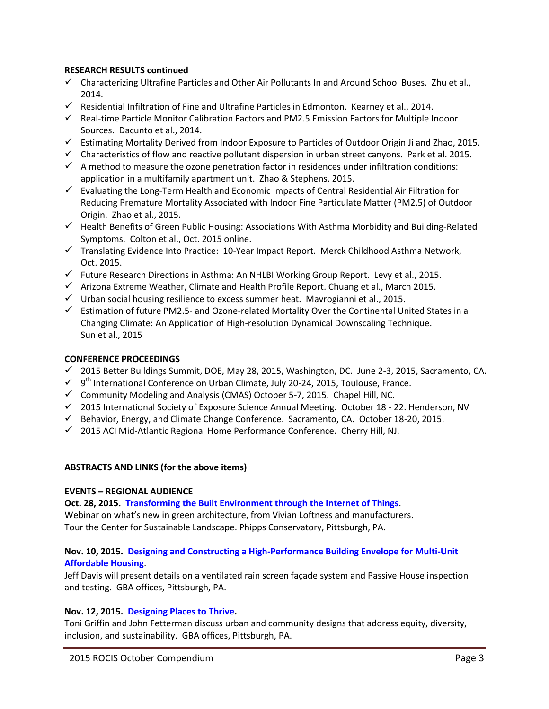## **RESEARCH RESULTS continued**

- $\checkmark$  Characterizing Ultrafine Particles and Other Air Pollutants In and Around School Buses. Zhu et al., 2014.
- $\checkmark$  Residential Infiltration of Fine and Ultrafine Particles in Edmonton. Kearney et al., 2014.
- $\checkmark$  Real-time Particle Monitor Calibration Factors and PM2.5 Emission Factors for Multiple Indoor Sources. Dacunto et al., 2014.
- Estimating Mortality Derived from Indoor Exposure to Particles of Outdoor Origin Ji and Zhao, 2015.
- Characteristics of flow and reactive pollutant dispersion in urban street canyons. Park et al. 2015.
- $\checkmark$  A method to measure the ozone penetration factor in residences under infiltration conditions: application in a multifamily apartment unit. Zhao & Stephens, 2015.
- $\checkmark$  Evaluating the Long-Term Health and Economic Impacts of Central Residential Air Filtration for Reducing Premature Mortality Associated with Indoor Fine Particulate Matter (PM2.5) of Outdoor Origin. Zhao et al., 2015.
- $\checkmark$  Health Benefits of Green Public Housing: Associations With Asthma Morbidity and Building-Related Symptoms. Colton et al., Oct. 2015 online.
- Translating Evidence Into Practice: 10-Year Impact Report. Merck Childhood Asthma Network, Oct. 2015.
- $\checkmark$  Future Research Directions in Asthma: An NHLBI Working Group Report. Levy et al., 2015.
- $\checkmark$  Arizona Extreme Weather, Climate and Health Profile Report. Chuang et al., March 2015.
- $\checkmark$  Urban social housing resilience to excess summer heat. Mavrogianni et al., 2015.
- $\checkmark$  Estimation of future PM2.5- and Ozone-related Mortality Over the Continental United States in a Changing Climate: An Application of High-resolution Dynamical Downscaling Technique. Sun et al., 2015

### **CONFERENCE PROCEEDINGS**

- $\checkmark$  2015 Better Buildings Summit, DOE, May 28, 2015, Washington, DC. June 2-3, 2015, Sacramento, CA.
- $\checkmark$  9<sup>th</sup> International Conference on Urban Climate, July 20-24, 2015, Toulouse, France.
- $\checkmark$  Community Modeling and Analysis (CMAS) October 5-7, 2015. Chapel Hill, NC.
- $\checkmark$  2015 International Society of Exposure Science Annual Meeting. October 18 22. Henderson, NV
- $\checkmark$  Behavior, Energy, and Climate Change Conference. Sacramento, CA. October 18-20, 2015.
- $\checkmark$  2015 ACI Mid-Atlantic Regional Home Performance Conference. Cherry Hill, NJ.

### **ABSTRACTS AND LINKS (for the above items)**

### **EVENTS – REGIONAL AUDIENCE**

**Oct. 28, 2015. [Transforming the Built Environment through the Internet of Things](https://www.go-gba.org/event/transforming-the-built-environment-through-the-internet-of-things-iot/)**.

Webinar on what's new in green architecture, from Vivian Loftness and manufacturers. Tour the Center for Sustainable Landscape. Phipps Conservatory, Pittsburgh, PA.

## **Nov. 10, 2015. [Designing and Constructing a High-Performance Building Envelope for Multi-Unit](https://www.go-gba.org/event/designing-and-constructing-a-high-performance-building-envelope-for-multi-unit-affordable-housing/)  [Affordable Housing](https://www.go-gba.org/event/designing-and-constructing-a-high-performance-building-envelope-for-multi-unit-affordable-housing/)**.

Jeff Davis will present details on a ventilated rain screen façade system and Passive House inspection and testing. GBA offices, Pittsburgh, PA.

### **Nov. 12, 2015. [Designing Places to Thrive.](https://www.go-gba.org/event/inspire-speaker-series-partners-with-p4-to-present-toni-l-griffin/)**

Toni Griffin and John Fetterman discuss urban and community designs that address equity, diversity, inclusion, and sustainability. GBA offices, Pittsburgh, PA.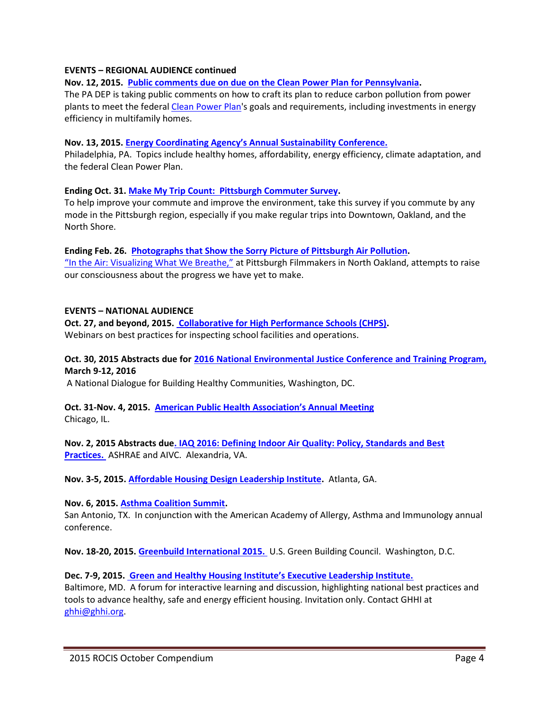### **EVENTS – REGIONAL AUDIENCE continued**

**Nov. 12, 2015. [Public comments due on due on the Clean Power Plan for Pennsylvania.](http://www.ahs.dep.pa.gov/eComment/)** 

The PA DEP is taking public comments on how to craft its plan to reduce carbon pollution from power plants to meet the federa[l Clean Power Plan'](http://www.portal.state.pa.us/portal/server.pt/community/bureau_of_air_quality/14528/climate_change/2120895)s goals and requirements, including investments in energy efficiency in multifamily homes.

## **Nov. 13, 2015. [Energy Coordinating Agency's Annual Sustainability Conference.](http://www.ecasavesenergy.org/conference2015)**

Philadelphia, PA. Topics include healthy homes, affordability, energy efficiency, climate adaptation, and the federal Clean Power Plan.

## **Ending Oct. 31. [Make My Trip Count: Pittsburgh Commuter Survey.](http://www.makemytripcount.org/about.html)**

To help improve your commute and improve the environment, take this survey if you commute by any mode in the Pittsburgh region, especially if you make regular trips into Downtown, Oakland, and the North Shore.

### **Ending Feb. 26. [Photographs that Show the Sorry Picture of Pittsburgh Air Pollution.](http://www.post-gazette.com/opinion/diana-nelson-jones/2015/09/15/Diana-Nelson-Jones-Walkabout-Photos-show-the-sorry-picture-of-local-air-pollution/stories/201509150028)**

["In the Air: Visualizing What We Breathe,"](http://filmmakers.pfpca.org/exhibitions/air-visualizing-what-we-breathe) at Pittsburgh Filmmakers in North Oakland, attempts to raise our consciousness about the progress we have yet to make.

## **EVENTS – NATIONAL AUDIENCE**

**Oct. 27, and beyond, 2015. [Collaborative for High Performance Schools \(CHPS\).](http://www.chps.net/dev/Drupal/calendar)** Webinars on best practices for inspecting school facilities and operations.

# **Oct. 30, 2015 Abstracts due for [2016 National Environmental Justice Conference and Training Program,](http://thenejc.org/?conference=national-environmental-justice-conference-and-training-program) March 9-12, 2016**

A National Dialogue for Building Healthy Communities, Washington, DC.

**Oct. 31-Nov. 4, 2015. [American Public Health Association's Annual Meeting](https://www.apha.org/events-and-meetings/annual/presenter-information/call-for-abstracts-information)** Chicago, IL.

**Nov. 2, 2015 Abstracts du[e. IAQ 2016: Defining Indoor Air Quality: Policy, Standards and Best](https://www.ashrae.org/membership--conferences/conferences/ashrae-conferences/iaq-2016)  [Practices.](https://www.ashrae.org/membership--conferences/conferences/ashrae-conferences/iaq-2016)** ASHRAE and AIVC. Alexandria, VA.

**Nov. 3-5, 2015. [Affordable Housing Design Leadership Institute.](http://www.enterprisecommunity.com/solutions-and-innovation/design-leadership/affordable-housing-design-leadership-institute)** Atlanta, GA.

**Nov. 6, 2015. [Asthma Coalition Summit.](http://www.allergyasthmanetwork.com/events/event_details.asp?id=679414)** San Antonio, TX. In conjunction with the American Academy of Allergy, Asthma and Immunology annual conference.

**Nov. 18-20, 2015[. Greenbuild International 2015.](http://www.greenbuildexpo.com/)** U.S. Green Building Council. Washington, D.C.

**Dec. 7-9, 2015. [Green and Healthy Housing Institute's Executive Leadership Institute.](http://www.greenandhealthyhomes.org/ghhi-5th-annual-executive-leadership-institute)** Baltimore, MD. A forum for interactive learning and discussion, highlighting national best practices and tools to advance healthy, safe and energy efficient housing. Invitation only. Contact GHHI at [ghhi@ghhi.org.](mailto:ghhi@ghhi.org)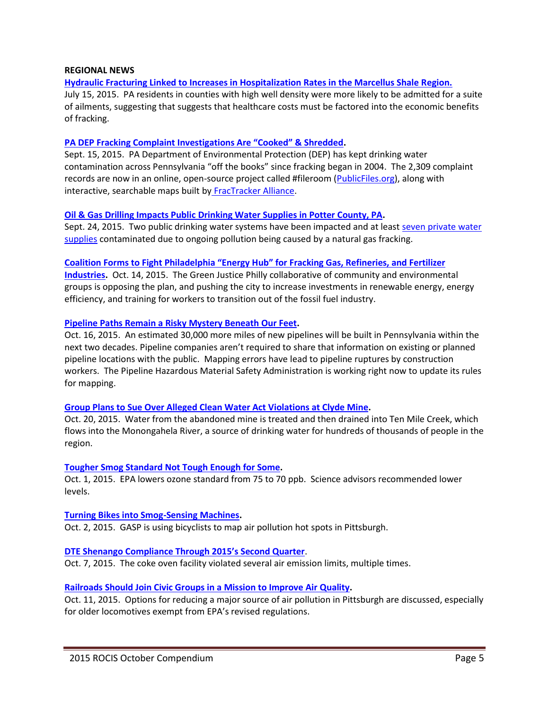### **REGIONAL NEWS**

**[Hydraulic Fracturing Linked to Increases in Hospitalization Rates in the Marcellus Shale Region.](http://www.uphs.upenn.edu/news/News_Releases/2015/07/panetteri/)**  July 15, 2015.PA residents in counties with high well density were more likely to be admitted for a suite of ailments, suggesting that suggests that healthcare costs must be factored into the economic benefits of fracking.

## **[PA DEP Fracking Complaint Investigations Are "Cooked" & Shredded](http://publicherald.org/public-herald-30-month-report-finds-dep-fracking-complaint-investigations-are-cooked/).**

Sept. 15, 2015. PA Department of Environmental Protection (DEP) has kept drinking water contamination across Pennsylvania "off the books" since fracking began in 2004. The 2,309 complaint records are now in an online, open-source project called #fileroom [\(PublicFiles.org\)](http://publicfiles.org/), along with interactive, searchable maps built by [FracTracker Alliance.](http://fractracker.org/)

### **[Oil & Gas Drilling Impacts Public Drinking Water Supplies in Potter County, PA.](http://feedproxy.google.com/~r/publicherald/~3/_P2SP4Z900s/?utm_source=feedburner&utm_medium=email)**

Sept. 24, 2015.Two public drinking water systems have been impacted and at least [seven private water](http://solomonswords.blogspot.com/2015/09/jklm-energy-project-update-september-30.html)  [supplies](http://solomonswords.blogspot.com/2015/09/jklm-energy-project-update-september-30.html) contaminated due to ongoing pollution being caused by a natural gas fracking.

### **[Coalition Forms to Fight Philadelphia "Energy Hub"](https://stateimpact.npr.org/pennsylvania/2015/10/14/coalition-forms-to-fight-philadelphia-energy-hub/?__utma=36319398.1738873511.1445375824.1445375824.1445375824.1&__utmb=36319398.4.10.1445375824&__utmc=36319398&__utmx=-&__utmz=36319398.1445375824.1.1.utmcsr=google%7Cutmccn=%28organic%29%7Cutmcmd=organic%7Cutmctr=%28not%20provided%29&__utmv=-&__utmk=142335280) for Fracking Gas, Refineries, and Fertilizer**

**[Industries.](https://stateimpact.npr.org/pennsylvania/2015/10/14/coalition-forms-to-fight-philadelphia-energy-hub/?__utma=36319398.1738873511.1445375824.1445375824.1445375824.1&__utmb=36319398.4.10.1445375824&__utmc=36319398&__utmx=-&__utmz=36319398.1445375824.1.1.utmcsr=google%7Cutmccn=%28organic%29%7Cutmcmd=organic%7Cutmctr=%28not%20provided%29&__utmv=-&__utmk=142335280)** Oct. 14, 2015. The Green Justice Philly collaborative of community and environmental groups is opposing the plan, and pushing the city to increase investments in renewable energy, energy efficiency, and training for workers to transition out of the fossil fuel industry.

### **[Pipeline Paths Remain a Risky Mystery Beneath Our Feet.](http://www.alleghenyfront.org/story/pipeline-paths-remain-risky-mystery-beneath-our-feet)**

Oct. 16, 2015. An estimated 30,000 more miles of new pipelines will be built in Pennsylvania within the next two decades. Pipeline companies aren't required to share that information on existing or planned pipeline locations with the public. Mapping errors have lead to pipeline ruptures by construction workers. The Pipeline Hazardous Material Safety Administration is working right now to update its rules for mapping.

### **[Group Plans to Sue Over Alleged Clean Water Act Violations at Clyde Mine.](http://www.witf.org/news/2015/10/group-plans-to-sue-over-alleged-clean-water-act-violations-at-clyde-mine.php)**

Oct. 20, 2015. Water from the abandoned mine is treated and then drained into Ten Mile Creek, which flows into the Monongahela River, a source of drinking water for hundreds of thousands of people in the region.

### **[Tougher Smog Standard Not Tough Enough for Some.](http://www.alleghenyfront.org/story/tougher-smog-standard-not-tough-enough-some)**

Oct. 1, 2015. EPA lowers ozone standard from 75 to 70 ppb. Science advisors recommended lower levels.

### **[Turning Bikes into Smog-Sensing Machines.](http://alleghenyfront.org/story/turning-bikes-smog-sensing-machines)**

Oct. 2, 2015. GASP is using bicyclists to map air pollution hot spots in Pittsburgh.

### **[DTE Shenango Compliance Through 2015's Second Quarter](http://gasp-pgh.org/2015/09/08/dte-shenango-compliance-through-2015s-second-quarter/)**.

Oct. 7, 2015. The coke oven facility violated several air emission limits, multiple times.

### **[Railroads Should Join Civic Groups in a Mission to Improve Air Quality.](http://www.post-gazette.com/opinion/Op-Ed/2015/10/11/The-Next-Page-Railroads-should-do-more-to-improve-Pittsburgh-s-air-quality-urges-Joel-A-Tarr/stories/201510110004)**

Oct. 11, 2015. Options for reducing a major source of air pollution in Pittsburgh are discussed, especially for older locomotives exempt from EPA's revised regulations.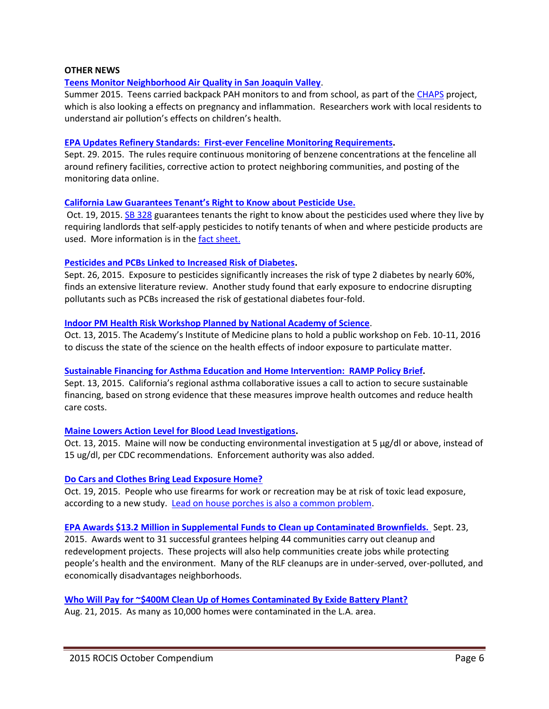### **OTHER NEWS**

### **[Teens Monitor Neighborhood Air Quality in San Joaquin Valley](http://coeh.berkeley.edu/bridges/Summer2015/Teens.html)**.

Summer 2015. Teens carried backpack PAH monitors to and from school, as part of the [CHAPS](http://chaps.berkeley.edu/) project, which is also looking a effects on pregnancy and inflammation. Researchers work with local residents to understand air pollution's effects on children's health.

#### **[EPA Updates Refinery Standards: First-ever Fenceline Monitoring Requirements.](http://yosemite.epa.gov/opa/admpress.nsf/0/D12EDC1C383ADF0385257ECF005B96B6)**

Sept. 29. 2015. The rules require continuous monitoring of benzene concentrations at the fenceline all around refinery facilities, corrective action to protect neighboring communities, and posting of the monitoring data online.

#### **[California Law Guarantees Tenant's Right to Know about Pesticide U](http://leginfo.legislature.ca.gov/faces/billNavClient.xhtml?bill_id=201520160SB328)se.**

Oct. 19, 2015. Subsetsed Superantees tenants the right to know about the pesticides used where they live by requiring landlords that self-apply pesticides to notify tenants of when and where pesticide products are used. More information is in the [fact sheet.](http://click.icptrack.com/icp/relay.php?r=51461836&msgid=629353&act=YX97&c=575009&destination=http%3A%2F%2Fwww.rampasthma.org%2Fwp-content%2Fuploads%2F2015%2F04%2FSB-328-Hueso-Sponsor-Fact-Sheet-15-05-27.pdf)

#### **[Pesticides and PCBs Linked to Increased Risk of Diabetes.](http://www.medscape.com/viewarticle/851549)**

Sept. 26, 2015. Exposure to pesticides significantly increases the risk of type 2 diabetes by nearly 60%, finds an extensive literature review. Another study found that early exposure to endocrine disrupting pollutants such as PCBs increased the risk of gestational diabetes four-fold.

#### **[Indoor PM Health Risk Workshop Planned by National Academy of Science](http://iom.nationalacademies.org/Activities/PublicHealth/Health-Risks-Indoor-Exposure-ParticulateMatter.aspx)**.

Oct. 13, 2015. The Academy's Institute of Medicine plans to hold a public workshop on Feb. 10-11, 2016 to discuss the state of the science on the health effects of indoor exposure to particulate matter.

### **[Sustainable Financing for Asthma Education and Home Intervention: RAMP Policy Brief.](http://www.phi.org/resources/?resource=a-path-forward-sustainable-financing-for-asthma-education-and-home-environmental-trigger-remediation-in-california)**

Sept. 13, 2015. California's regional asthma collaborative issues a call to action to secure sustainable financing, based on strong evidence that these measures improve health outcomes and reduce health care costs.

### **[Maine Lowers Action Level for Blood Lead Investigations.](http://www.greenandhealthyhomes.org/blog/influencing-healthy-homes-public-policy-maine%E2%80%99s-new-lead-law)**

Oct. 13, 2015. Maine will now be conducting environmental investigation at 5 µg/dl or above, instead of 15 ug/dl, per CDC recommendations. Enforcement authority was also added.

#### **[Do Cars and Clothes Bring Lead Exposure Home?](http://www.futurity.org/lead-exposure-firearms-1029012-2/?utm_source=Futurity+Today&utm_campaign=75b36a89d2-October_20_201510_20_2015&utm_medium=email&utm_term=0_e34e8ee443-75b36a89d2-206347653)**

Oct. 19, 2015. People who use firearms for work or recreation may be at risk of toxic lead exposure, according to a new study. [Lead on house porches is also a common problem.](http://www.futurity.org/lead-porches-children-846332/)

#### **[EPA Awards \\$13.2 Million in Supplemental Funds to Clean up Contaminated Brownfields.](http://yosemite.epa.gov/opa/admpress.nsf/0/0862EDC7B20F1A4E85257EC90062920B)** Sept. 23,

2015. Awards went to 31 successful grantees helping 44 communities carry out cleanup and redevelopment projects. These projects will also help communities create jobs while protecting people's health and the environment. Many of the RLF cleanups are in under-served, over-polluted, and economically disadvantages neighborhoods.

### **[Who Will Pay for ~\\$400M Clean Up of Homes Contaminated By Exide Battery Plant?](http://losangeles.cbslocal.com/2015/08/21/where-will-state-get-the-more-than-390-m-required-to-clean-up-homes-contaminated-by-exide-battery-plant/)**

Aug. 21, 2015. As many as 10,000 homes were contaminated in the L.A. area.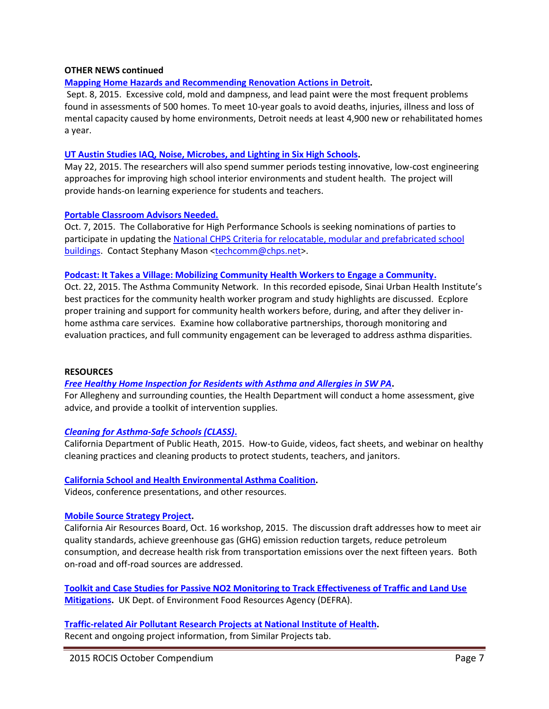### **OTHER NEWS continued**

### **[Mapping Home Hazards and Recommending Renovation Actions in Detroit.](http://www.drawingdetroit.com/refocusing-housing-policy-in-detroit-moving-to-healthy-housing/?utm_source=News+%26+Updates_10%2F14%2F15&utm_campaign=newsletter1015&utm_medium=email)**

Sept. 8, 2015. Excessive cold, mold and dampness, and lead paint were the most frequent problems found in assessments of 500 homes. To meet 10-year goals to avoid deaths, injuries, illness and loss of mental capacity caused by home environments, Detroit needs at least 4,900 new or rehabilitated homes a year.

### **[UT Austin Studies IAQ, Noise, Microbes, and Lighting in Six High Schools.](http://yosemite.epa.gov/opa/admpress.nsf/0/A07D75882FE48DB785257E4D0069D381)**

May 22, 2015. The researchers will also spend summer periods testing innovative, low-cost engineering approaches for improving high school interior environments and student health. The project will provide hands-on learning experience for students and teachers.

#### **[Portable Classroom Advisors Needed.](http://www.chps.net/dev/Drupal/node/41)**

Oct. 7, 2015. The Collaborative for High Performance Schools is seeking nominations of parties to participate in updating the [National CHPS Criteria for relocatable, modular and prefabricated school](http://www.chps.net/dev/Drupal/node/41)  [buildings.](http://www.chps.net/dev/Drupal/node/41) Contact Stephany Mason [<techcomm@chps.net>](mailto:techcomm@chps.net).

#### **[Podcast: It Takes a Village: Mobilizing Community Health Workers to Engage a Community.](http://www.asthmacommunitynetwork.org/podcasts/episode/16149)**

Oct. 22, 2015. The Asthma Community Network. In this recorded episode, Sinai Urban Health Institute's best practices for the community health worker program and study highlights are discussed. Ecplore proper training and support for community health workers before, during, and after they deliver inhome asthma care services. Examine how collaborative partnerships, thorough monitoring and evaluation practices, and full community engagement can be leveraged to address asthma disparities.

#### **RESOURCES**

### *[Free Healthy Home Inspection for Residents with Asthma and Allergies in SW PA](http://www.alleghenycounty.us/2015/20150522.pdf)***.**

For Allegheny and surrounding counties, the Health Department will conduct a home assessment, give advice, and provide a toolkit of intervention supplies.

### *[Cleaning for Asthma-Safe Schools \(CLASS\)](https://www.cdph.ca.gov/programs/ohsep/Pages/class.aspx)***.**

California Department of Public Heath, 2015. How-to Guide, videos, fact sheets, and webinar on healthy cleaning practices and cleaning products to protect students, teachers, and janitors.

### **[California School and Health Environmental Asthma Coalition.](https://www.cdph.ca.gov/programs/ohsep/Pages/class.aspx)**

Videos, conference presentations, and other resources.

### **[Mobile Source Strategy Project.](http://www.arb.ca.gov/planning/sip/2016sip/2016mobsrc.htm/)**

California Air Resources Board, Oct. 16 workshop, 2015. The discussion draft addresses how to meet air quality standards, achieve greenhouse gas (GHG) emission reduction targets, reduce petroleum consumption, and decrease health risk from transportation emissions over the next fifteen years. Both on-road and off-road sources are addressed.

**[Toolkit and Case Studies for Passive NO2 Monitoring to Track Effectiveness of Traffic and Land Use](http://laqm.defra.gov.uk/action-planning/good-practice.html)  [Mitigations.](http://laqm.defra.gov.uk/action-planning/good-practice.html)** UK Dept. of Environment Food Resources Agency (DEFRA).

#### **[Traffic-related Air Pollutant Research Projects at National Institute of Health.](https://projectreporter.nih.gov/project_info_like.cfm?aid=8118289&icde=10735390)** Recent and ongoing project information, from Similar Projects tab.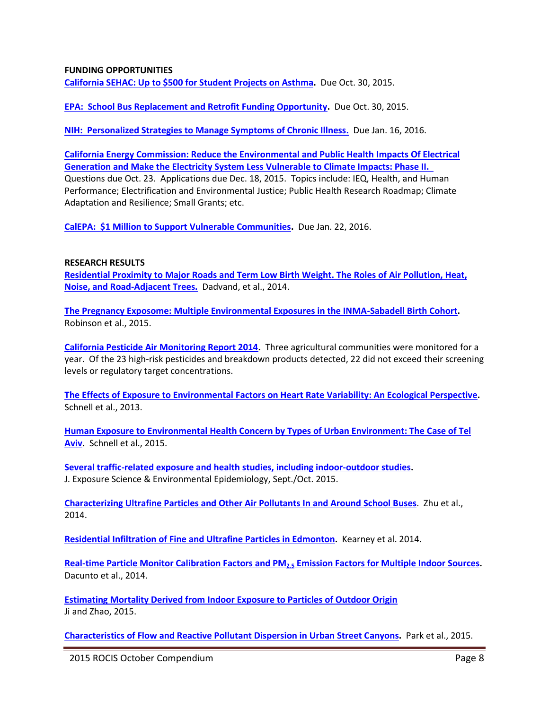### **FUNDING OPPORTUNITIES**

**[California SEHAC: Up to \\$500 for Student Projects on Asthma.](http://www.rampasthma.org/archives/13547)** Due Oct. 30, 2015.

**[EPA: School Bus Replacement and Retrofit Funding Opportunity.](http://click.icptrack.com/icp/relay.php?r=51461836&msgid=629353&act=YX97&c=575009&destination=http%3A%2F%2Fwww.rampasthma.org%2Farchives%2F13620)** Due Oct. 30, 2015.

**[NIH: Personalized Strategies to Manage Symptoms of Chronic Illness.](http://click.icptrack.com/icp/relay.php?r=51461836&msgid=629353&act=YX97&c=575009&destination=http%3A%2F%2Fwww.rampasthma.org%2Farchives%2F13624)** Due Jan. 16, 2016.

**[California Energy Commission: Reduce the Environmental and Public Health](http://www.energy.ca.gov/contracts/GFO-15-309/) Impacts Of Electrical [Generation and Make the Electricity System Less](http://www.energy.ca.gov/contracts/GFO-15-309/) Vulnerable to Climate Impacts: Phase II.**  Questions due Oct. 23. Applications due Dec. 18, 2015. Topics include: IEQ, Health, and Human Performance; Electrification and Environmental Justice; Public Health Research Roadmap; Climate Adaptation and Resilience; Small Grants; etc.

**[CalEPA: \\$1 Million to Support Vulnerable Communities.](http://www.rampasthma.org/archives/13626)** Due Jan. 22, 2016.

#### **RESEARCH RESULTS**

**[Residential Proximity to Major Roads and Term Low Birth Weight. The Roles of](http://www.ncbi.nlm.nih.gov/pubmed/24787556) Air Pollution, Heat, [Noise, and Road-Adjacent Trees.](http://www.ncbi.nlm.nih.gov/pubmed/24787556)** Dadvand, et al., 2014.

**[The Pregnancy Exposome: Multiple Environmental Exposures in the INMA-Sabadell Birth Cohort.](http://pubs.acs.org/doi/full/10.1021/acs.est.5b01782)** Robinson et al., 2015.

**[California Pesticide Air Monitoring Report 2014.](http://www.cdpr.ca.gov/docs/emon/airinit/air_network_results.htm)** Three agricultural communities were monitored for a year. Of the 23 high-risk pesticides and breakdown products detected, 22 did not exceed their screening levels or regulatory target concentrations.

**[The Effects of Exposure to Environmental Factors on Heart Rate Variability: An Ecological Perspective.](http://www.sciencedirect.com/science/article/pii/S0269749113000717)**  Schnell et al., 2013.

**[Human Exposure to Environmental Health Concern by Types of Urban Environment: The Case of Tel](http://www.sciencedirect.com/science/article/pii/S0269749115300348)  [Aviv.](http://www.sciencedirect.com/science/article/pii/S0269749115300348)** Schnell et al., 2015.

**[Several traffic-related exposure and health studies, including indoor-outdoor studies.](http://www.nature.com/jes/journal/v25/n5/index.html#oa%20" )**  J. Exposure Science & Environmental Epidemiology, Sept./Oct. 2015.

**[Characterizing Ultrafine Particles and Other Air Pollutants In and Around School Buses](http://www.ncbi.nlm.nih.gov/pubmed/24834688)**. Zhu et al., 2014.

**[Residential Infiltration of Fine and Ultrafine Particles in Edmonton.](http://www.sciencedirect.com/science/article/pii/S1352231014003677)** Kearney et al. 2014.

**[Real-time Particle Monitor Calibration Factors and PM](http://pubs.rsc.org/en/Content/ArticleLanding/2013/EM/c3em00209h#!divAbstract)2.5 Emission Factors for Multiple Indoor Sources.** Dacunto et al., 2014.

**[Estimating Mortality Derived from Indoor Exposure to Particles of Outdoor Origin](http://journals.plos.org/plosone/article?id=10.1371/journal.pone.0124238)** Ji and Zhao, 2015.

**[Characteristics of Flow and Reactive Pollutant Dispersion in Urban Street Canyons.](http://www.sciencedirect.com/science/article/pii/S1352231015001909)** Park et al., 2015.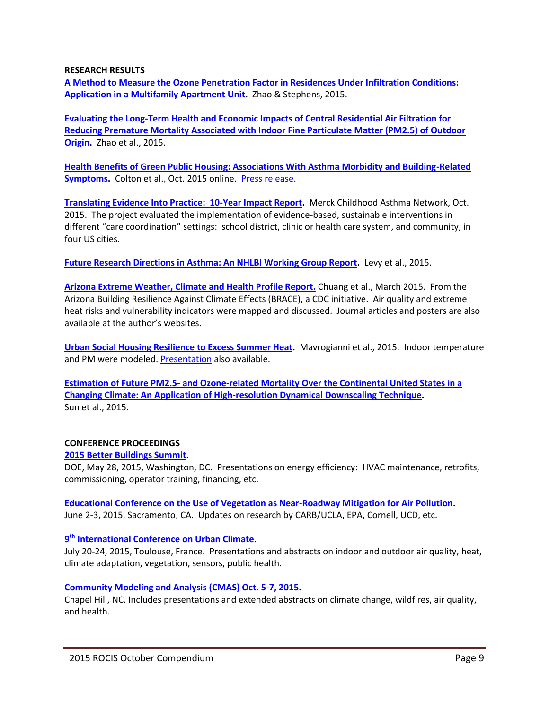#### **RESEARCH RESULTS**

**[A Method to Measure the Ozone Penetration Factor in Residences Under Infiltration Conditions:](http://built-envi.com/wp-content/uploads/zhao-and-stephens-2015-ia-ozone-penetration.pdf)  [Application in a Multifamily Apartment Unit.](http://built-envi.com/wp-content/uploads/zhao-and-stephens-2015-ia-ozone-penetration.pdf)** Zhao & Stephens, 2015.

**[Evaluating the Long-Term Health and Economic Impacts of Central Residential Air Filtration for](http://built-envi.com/wp-content/uploads/zhao-et-al-2015-ijerph-pm25-mortality-filters.pdf)  [Reducing Premature Mortality Associated with Indoor Fine Particulate Matter \(PM2.5\) of Outdoor](http://built-envi.com/wp-content/uploads/zhao-et-al-2015-ijerph-pm25-mortality-filters.pdf)  [Origin.](http://built-envi.com/wp-content/uploads/zhao-et-al-2015-ijerph-pm25-mortality-filters.pdf)** Zhao et al., 2015.

**[Health Benefits of Green Public Housing: Associations With Asthma Morbidity and Building-Related](http://ajph.aphapublications.org/doi/abs/10.2105/AJPH.2015.302793)  [Symptoms.](http://ajph.aphapublications.org/doi/abs/10.2105/AJPH.2015.302793)** Colton et al., Oct. 2015 online. [Press release.](http://www.hsph.harvard.edu/news/press-releases/green-public-housing-may-reduce-environmental-health-risks/)

**[Translating Evidence Into Practice: 10-Year Impact Report.](http://www.rampasthma.org/archives/13636)** Merck Childhood Asthma Network, Oct. 2015. The project evaluated the implementation of evidence-based, sustainable interventions in different "care coordination" settings: school district, clinic or health care system, and community, in four US cities.

**[Future Research Directions in Asthma: An NHLBI Working Group Report.](http://www.ncbi.nlm.nih.gov/pubmed/26305520)** Levy et al., 2015.

**[Arizona Extreme Weather, Climate and Health Profile Report.](https://sustainability.asu.edu/docs/climate/BRACE/extreme-weather-climate-health-report.pdf)** Chuang et al., March 2015. From the Arizona Building Resilience Against Climate Effects (BRACE), a CDC initiative. Air quality and extreme heat risks and vulnerability indicators were mapped and discussed. Journal articles and posters are also available at the author's websites.

**[Urban Social Housing Resilience to Excess Summer Heat.](http://www.tandfonline.com/doi/full/10.1080/09613218.2015.991515)** Mavrogianni et al., 2015. Indoor temperature and PM were modeled. [Presentation](http://www.retrofit2050.org.uk/sites/default/files/resources/Mavrogianni.pdf) also available.

**Estimation of Future PM2.5- and [Ozone-related Mortality Over the Continental United States in a](http://www.tandfonline.com/doi/full/10.1080/10962247.2015.1033068)  [Changing Climate: An Application of High-resolution Dynamical Downscaling Technique.](http://www.tandfonline.com/doi/full/10.1080/10962247.2015.1033068)**  Sun et al., 2015.

# **CONFERENCE PROCEEDINGS**

### **[2015 Better Buildings Summit.](http://betterbuildingssolutioncenter.energy.gov/search?f%5B0%5D=type%3Apresentation)**

DOE, May 28, 2015, Washington, DC. Presentations on energy efficiency: HVAC maintenance, retrofits, commissioning, operator training, financing, etc.

## **[Educational Conference on the Use of Vegetation as Near-Roadway Mitigation for Air Pollution.](http://www.sacbreathe.org/PDF%20Downloads/VegetationConf2015_Day1.pdf)** June 2-3, 2015, Sacramento, CA. Updates on research by CARB/UCLA, EPA, Cornell, UCD, etc.

# **9 th [International Conference on Urban Climate.](http://www.meteo.fr/icuc9/presentations.html)**

July 20-24, 2015, Toulouse, France. Presentations and abstracts on indoor and outdoor air quality, heat, climate adaptation, vegetation, sensors, public health.

### **[Community Modeling and Analysis \(CMAS\) Oct.](https://www.cmascenter.org/conference/2015/agenda.cfm) 5-7, 2015.**

Chapel Hill, NC. Includes presentations and extended abstracts on climate change, wildfires, air quality, and health.